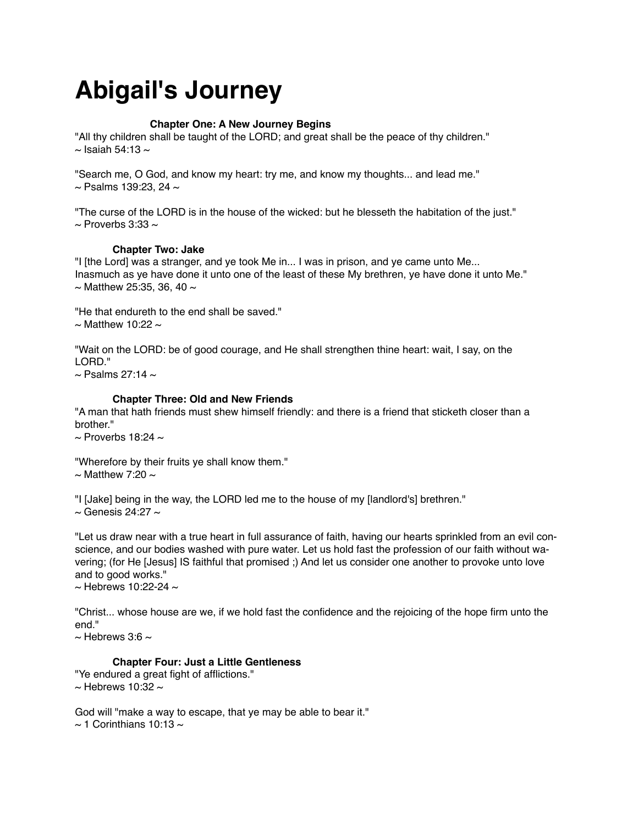# **Abigail's Journey**

# **! ! Chapter One: A New Journey Begins**

"All thy children shall be taught of the LORD; and great shall be the peace of thy children."  $\sim$  Isaiah 54:13  $\sim$ 

"Search me, O God, and know my heart: try me, and know my thoughts... and lead me."  $\sim$  Psalms 139:23, 24  $\sim$ 

"The curse of the LORD is in the house of the wicked: but he blesseth the habitation of the just."  $\sim$  Proverbs 3:33  $\sim$ 

# **Chapter Two: Jake**

"I [the Lord] was a stranger, and ye took Me in... I was in prison, and ye came unto Me... Inasmuch as ye have done it unto one of the least of these My brethren, ye have done it unto Me."  $\sim$  Matthew 25:35, 36, 40  $\sim$ 

"He that endureth to the end shall be saved."  $\sim$  Matthew 10:22  $\sim$ 

"Wait on the LORD: be of good courage, and He shall strengthen thine heart: wait, I say, on the LORD."

 $\sim$  Psalms 27:14  $\sim$ 

#### **Chapter Three: Old and New Friends**

"A man that hath friends must shew himself friendly: and there is a friend that sticketh closer than a brother."

 $\sim$  Proverbs 18:24  $\sim$ 

"Wherefore by their fruits ye shall know them."

 $\sim$  Matthew 7:20  $\sim$ 

"I [Jake] being in the way, the LORD led me to the house of my [landlord's] brethren."

 $\sim$  Genesis 24:27  $\sim$ 

"Let us draw near with a true heart in full assurance of faith, having our hearts sprinkled from an evil conscience, and our bodies washed with pure water. Let us hold fast the profession of our faith without wavering; (for He [Jesus] IS faithful that promised ;) And let us consider one another to provoke unto love and to good works."

 $\sim$  Hebrews 10:22-24  $\sim$ 

"Christ... whose house are we, if we hold fast the confidence and the rejoicing of the hope firm unto the end."

 $\sim$  Hebrews 3:6  $\sim$ 

# **Chapter Four: Just a Little Gentleness**

"Ye endured a great fight of afflictions."  $\sim$  Hebrews 10:32  $\sim$ 

God will "make a way to escape, that ye may be able to bear it."  $\sim$  1 Corinthians 10:13  $\sim$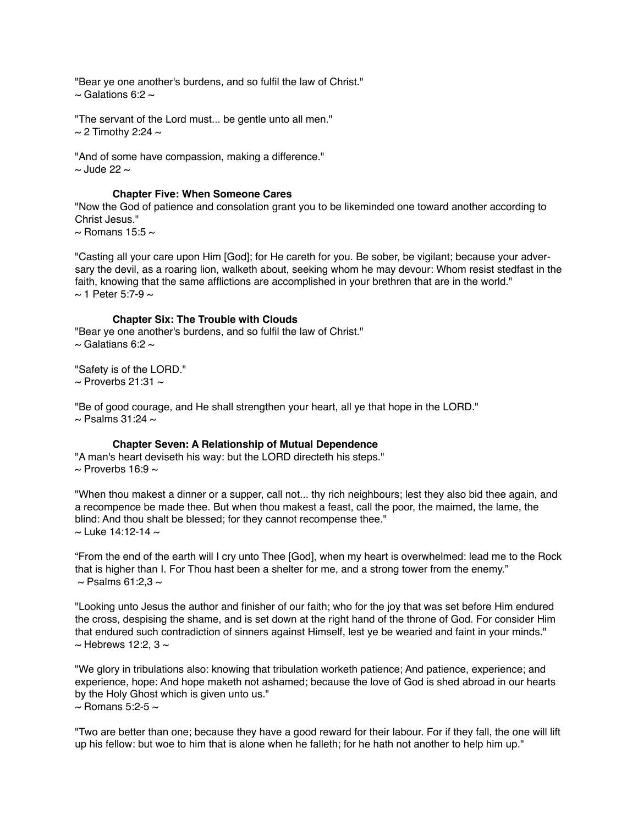"Bear ye one another's burdens, and so fulfil the law of Christ."  $\sim$  Galations 6:2  $\sim$ 

"The servant of the Lord must... be gentle unto all men."  $\sim$  2 Timothy 2:24  $\sim$ 

"And of some have compassion, making a difference."  $\sim$  Jude 22  $\sim$ 

# **Chapter Five: When Someone Cares**

"Now the God of patience and consolation grant you to be likeminded one toward another according to Christ Jesus."

 $\sim$  Romans 15:5  $\sim$ 

"Casting all your care upon Him [God]; for He careth for you. Be sober, be vigilant; because your adversary the devil, as a roaring lion, walketh about, seeking whom he may devour: Whom resist stedfast in the faith, knowing that the same afflictions are accomplished in your brethren that are in the world."  $\sim$  1 Peter 5:7-9  $\sim$ 

# **Chapter Six: The Trouble with Clouds**

"Bear ye one another's burdens, and so fulfil the law of Christ."  $\sim$  Galatians 6:2  $\sim$ 

"Safety is of the LORD."  $\sim$  Proverbs 21:31  $\sim$ 

"Be of good courage, and He shall strengthen your heart, all ye that hope in the LORD."  $\sim$  Psalms 31:24  $\sim$ 

# **Chapter Seven: A Relationship of Mutual Dependence**

"A man's heart deviseth his way: but the LORD directeth his steps."  $\sim$  Proverbs 16:9  $\sim$ 

"When thou makest a dinner or a supper, call not... thy rich neighbours; lest they also bid thee again, and a recompence be made thee. But when thou makest a feast, call the poor, the maimed, the lame, the blind: And thou shalt be blessed; for they cannot recompense thee."  $\sim$  Luke 14:12-14  $\sim$ 

"From the end of the earth will I cry unto Thee [God], when my heart is overwhelmed: lead me to the Rock that is higher than I. For Thou hast been a shelter for me, and a strong tower from the enemy."  $\sim$  Psalms 61:2,3  $\sim$ 

"Looking unto Jesus the author and finisher of our faith; who for the joy that was set before Him endured the cross, despising the shame, and is set down at the right hand of the throne of God. For consider Him that endured such contradiction of sinners against Himself, lest ye be wearied and faint in your minds."  $\sim$  Hebrews 12:2, 3  $\sim$ 

"We glory in tribulations also: knowing that tribulation worketh patience; And patience, experience; and experience, hope: And hope maketh not ashamed; because the love of God is shed abroad in our hearts by the Holy Ghost which is given unto us."  $\sim$  Romans 5:2-5  $\sim$ 

"Two are better than one; because they have a good reward for their labour. For if they fall, the one will lift up his fellow: but woe to him that is alone when he falleth; for he hath not another to help him up."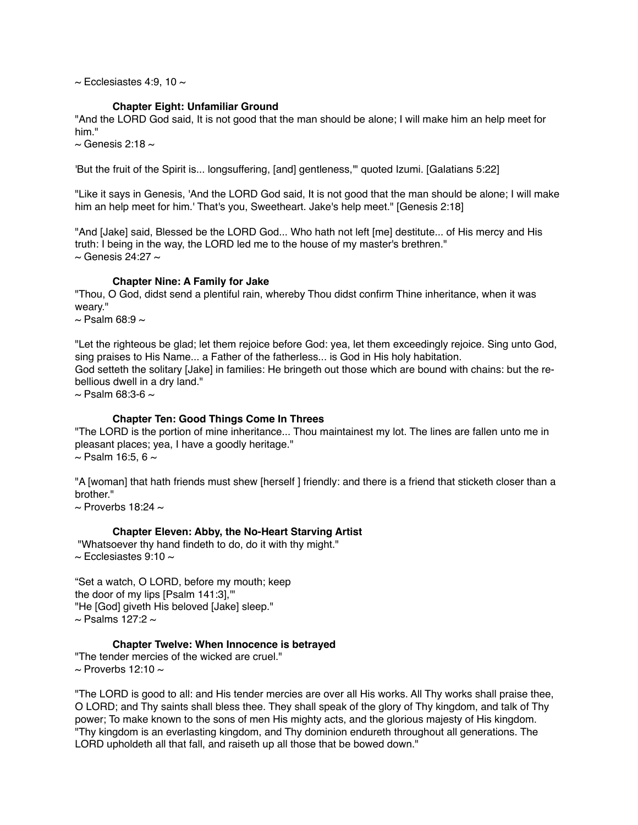$\sim$  Ecclesiastes 4:9, 10  $\sim$ 

# **Chapter Eight: Unfamiliar Ground**

"And the LORD God said, It is not good that the man should be alone; I will make him an help meet for him."

 $\sim$  Genesis 2:18  $\sim$ 

'But the fruit of the Spirit is... longsuffering, [and] gentleness,'" quoted Izumi. [Galatians 5:22]

"Like it says in Genesis, 'And the LORD God said, It is not good that the man should be alone; I will make him an help meet for him.' That's you, Sweetheart. Jake's help meet." [Genesis 2:18]

"And [Jake] said, Blessed be the LORD God... Who hath not left [me] destitute... of His mercy and His truth: I being in the way, the LORD led me to the house of my master's brethren."  $\sim$  Genesis 24:27  $\sim$ 

#### **Chapter Nine: A Family for Jake**

"Thou, O God, didst send a plentiful rain, whereby Thou didst confirm Thine inheritance, when it was weary."

 $\sim$  Psalm 68:9  $\sim$ 

"Let the righteous be glad; let them rejoice before God: yea, let them exceedingly rejoice. Sing unto God, sing praises to His Name... a Father of the fatherless... is God in His holy habitation.

God setteth the solitary [Jake] in families: He bringeth out those which are bound with chains: but the rebellious dwell in a dry land."

 $\sim$  Psalm 68:3-6  $\sim$ 

# **Chapter Ten: Good Things Come In Threes**

"The LORD is the portion of mine inheritance... Thou maintainest my lot. The lines are fallen unto me in pleasant places; yea, I have a goodly heritage."  $\sim$  Psalm 16:5, 6  $\sim$ 

"A [woman] that hath friends must shew [herself ] friendly: and there is a friend that sticketh closer than a brother."

 $\sim$  Proverbs 18:24  $\sim$ 

# **Chapter Eleven: Abby, the No-Heart Starving Artist**

 "Whatsoever thy hand findeth to do, do it with thy might."  $\sim$  Ecclesiastes 9:10  $\sim$ 

"Set a watch, O LORD, before my mouth; keep the door of my lips [Psalm 141:3],'" "He [God] giveth His beloved [Jake] sleep."  $\sim$  Psalms 127:2  $\sim$ 

# **Chapter Twelve: When Innocence is betrayed**

"The tender mercies of the wicked are cruel."  $\sim$  Proverbs 12:10  $\sim$ 

"The LORD is good to all: and His tender mercies are over all His works. All Thy works shall praise thee, O LORD; and Thy saints shall bless thee. They shall speak of the glory of Thy kingdom, and talk of Thy power; To make known to the sons of men His mighty acts, and the glorious majesty of His kingdom. "Thy kingdom is an everlasting kingdom, and Thy dominion endureth throughout all generations. The LORD upholdeth all that fall, and raiseth up all those that be bowed down."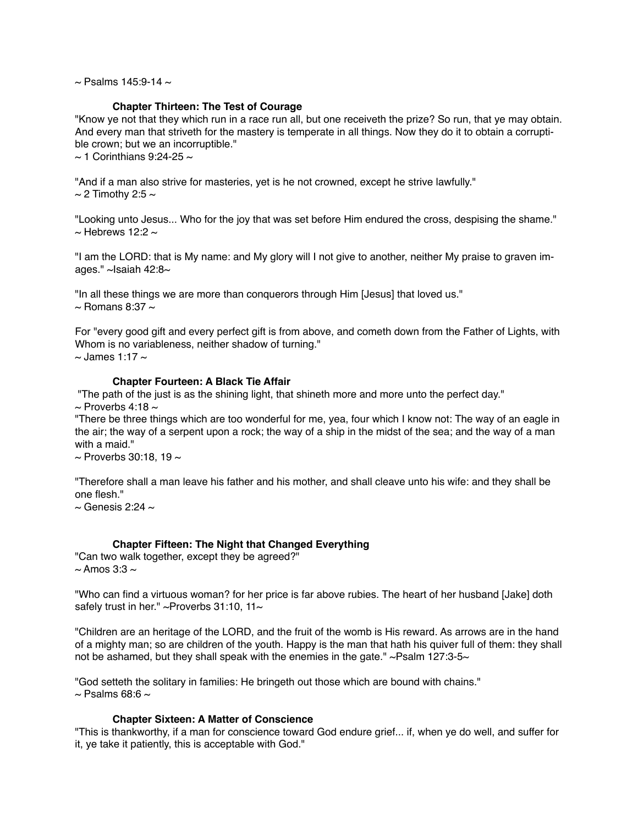$\sim$  Psalms 145:9-14  $\sim$ 

# **Chapter Thirteen: The Test of Courage**

"Know ye not that they which run in a race run all, but one receiveth the prize? So run, that ye may obtain. And every man that striveth for the mastery is temperate in all things. Now they do it to obtain a corruptible crown; but we an incorruptible."

 $\sim$  1 Corinthians 9:24-25  $\sim$ 

"And if a man also strive for masteries, yet is he not crowned, except he strive lawfully."  $\sim$  2 Timothy 2:5  $\sim$ 

"Looking unto Jesus... Who for the joy that was set before Him endured the cross, despising the shame."  $\sim$  Hebrews 12:2  $\sim$ 

"I am the LORD: that is My name: and My glory will I not give to another, neither My praise to graven images." ~Isaiah 42:8~

"In all these things we are more than conquerors through Him [Jesus] that loved us."  $\sim$  Romans 8:37  $\sim$ 

For "every good gift and every perfect gift is from above, and cometh down from the Father of Lights, with Whom is no variableness, neither shadow of turning."  $\sim$  James 1:17  $\sim$ 

# **Chapter Fourteen: A Black Tie Affair**

 "The path of the just is as the shining light, that shineth more and more unto the perfect day."  $\sim$  Proverbs 4:18  $\sim$ 

"There be three things which are too wonderful for me, yea, four which I know not: The way of an eagle in the air; the way of a serpent upon a rock; the way of a ship in the midst of the sea; and the way of a man with a maid."

 $\sim$  Proverbs 30:18, 19  $\sim$ 

"Therefore shall a man leave his father and his mother, and shall cleave unto his wife: and they shall be one flesh."

 $\sim$  Genesis 2:24  $\sim$ 

# **Chapter Fifteen: The Night that Changed Everything**

"Can two walk together, except they be agreed?"  $\sim$  Amos 3:3  $\sim$ 

"Who can find a virtuous woman? for her price is far above rubies. The heart of her husband [Jake] doth safely trust in her." ~Proverbs  $31:10$ ,  $11$ ~

"Children are an heritage of the LORD, and the fruit of the womb is His reward. As arrows are in the hand of a mighty man; so are children of the youth. Happy is the man that hath his quiver full of them: they shall not be ashamed, but they shall speak with the enemies in the gate."  $\sim$ Psalm 127:3-5 $\sim$ 

"God setteth the solitary in families: He bringeth out those which are bound with chains."  $\sim$  Psalms 68:6  $\sim$ 

# **Chapter Sixteen: A Matter of Conscience**

"This is thankworthy, if a man for conscience toward God endure grief... if, when ye do well, and suffer for it, ye take it patiently, this is acceptable with God."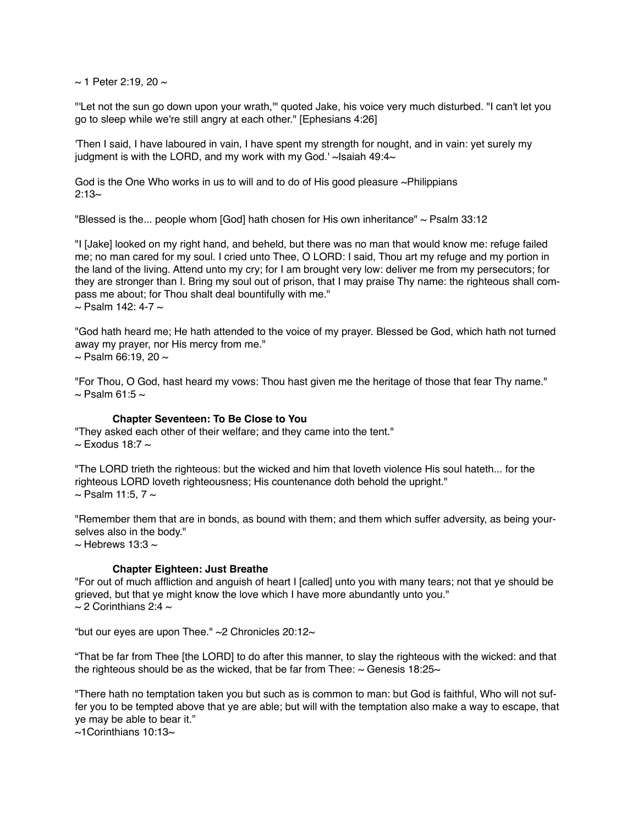$\sim$  1 Peter 2:19, 20  $\sim$ 

"'Let not the sun go down upon your wrath,'" quoted Jake, his voice very much disturbed. "I can't let you go to sleep while we're still angry at each other." [Ephesians 4:26]

'Then I said, I have laboured in vain, I have spent my strength for nought, and in vain: yet surely my judgment is with the LORD, and my work with my God.'  $\sim$  Isaiah 49:4 $\sim$ 

God is the One Who works in us to will and to do of His good pleasure ~Philippians  $2:13~$ 

"Blessed is the... people whom [God] hath chosen for His own inheritance" ~ Psalm 33:12

"I [Jake] looked on my right hand, and beheld, but there was no man that would know me: refuge failed me; no man cared for my soul. I cried unto Thee, O LORD: I said, Thou art my refuge and my portion in the land of the living. Attend unto my cry; for I am brought very low: deliver me from my persecutors; for they are stronger than I. Bring my soul out of prison, that I may praise Thy name: the righteous shall compass me about; for Thou shalt deal bountifully with me."  $\sim$  Psalm 142: 4-7  $\sim$ 

"God hath heard me; He hath attended to the voice of my prayer. Blessed be God, which hath not turned away my prayer, nor His mercy from me."  $\sim$  Psalm 66:19, 20  $\sim$ 

"For Thou, O God, hast heard my vows: Thou hast given me the heritage of those that fear Thy name."  $\sim$  Psalm 61:5  $\sim$ 

# **Chapter Seventeen: To Be Close to You**

"They asked each other of their welfare; and they came into the tent."  $\sim$  Exodus 18:7  $\sim$ 

"The LORD trieth the righteous: but the wicked and him that loveth violence His soul hateth... for the righteous LORD loveth righteousness; His countenance doth behold the upright."  $\sim$  Psalm 11:5, 7  $\sim$ 

"Remember them that are in bonds, as bound with them; and them which suffer adversity, as being yourselves also in the body."  $\sim$  Hebrews 13:3  $\sim$ 

#### **Chapter Eighteen: Just Breathe**

"For out of much affliction and anguish of heart I [called] unto you with many tears; not that ye should be grieved, but that ye might know the love which I have more abundantly unto you."  $\sim$  2 Corinthians 2:4  $\sim$ 

"but our eyes are upon Thee."  $\sim$  2 Chronicles 20:12 $\sim$ 

"That be far from Thee [the LORD] to do after this manner, to slay the righteous with the wicked: and that the righteous should be as the wicked, that be far from Thee:  $\sim$  Genesis 18:25 $\sim$ 

"There hath no temptation taken you but such as is common to man: but God is faithful, Who will not suffer you to be tempted above that ye are able; but will with the temptation also make a way to escape, that ye may be able to bear it."

 $\sim$ 1 Corinthians 10:13 $\sim$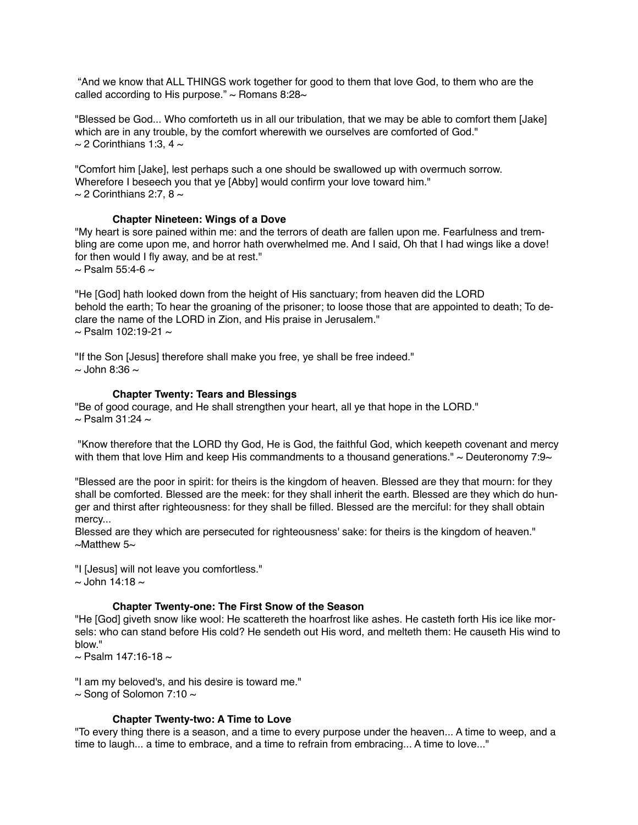"And we know that ALL THINGS work together for good to them that love God, to them who are the called according to His purpose."  $\sim$  Romans 8:28 $\sim$ 

"Blessed be God... Who comforteth us in all our tribulation, that we may be able to comfort them [Jake] which are in any trouble, by the comfort wherewith we ourselves are comforted of God."  $\sim$  2 Corinthians 1:3, 4  $\sim$ 

"Comfort him [Jake], lest perhaps such a one should be swallowed up with overmuch sorrow. Wherefore I beseech you that ye [Abby] would confirm your love toward him."  $\sim$  2 Corinthians 2:7, 8  $\sim$ 

# **Chapter Nineteen: Wings of a Dove**

"My heart is sore pained within me: and the terrors of death are fallen upon me. Fearfulness and trembling are come upon me, and horror hath overwhelmed me. And I said, Oh that I had wings like a dove! for then would I fly away, and be at rest."  $\sim$  Psalm 55:4-6  $\sim$ 

"He [God] hath looked down from the height of His sanctuary; from heaven did the LORD behold the earth; To hear the groaning of the prisoner; to loose those that are appointed to death; To declare the name of the LORD in Zion, and His praise in Jerusalem."  $\sim$  Psalm 102:19-21  $\sim$ 

"If the Son [Jesus] therefore shall make you free, ye shall be free indeed."  $\sim$  John 8:36  $\sim$ 

#### **Chapter Twenty: Tears and Blessings**

"Be of good courage, and He shall strengthen your heart, all ye that hope in the LORD."  $\sim$  Psalm 31:24  $\sim$ 

 "Know therefore that the LORD thy God, He is God, the faithful God, which keepeth covenant and mercy with them that love Him and keep His commandments to a thousand generations."  $\sim$  Deuteronomy 7:9 $\sim$ 

"Blessed are the poor in spirit: for theirs is the kingdom of heaven. Blessed are they that mourn: for they shall be comforted. Blessed are the meek: for they shall inherit the earth. Blessed are they which do hunger and thirst after righteousness: for they shall be filled. Blessed are the merciful: for they shall obtain mercy...

Blessed are they which are persecuted for righteousness' sake: for theirs is the kingdom of heaven."  $\sim$ Matthew 5 $\sim$ 

"I [Jesus] will not leave you comfortless."  $\sim$  John 14:18  $\sim$ 

#### **Chapter Twenty-one: The First Snow of the Season**

"He [God] giveth snow like wool: He scattereth the hoarfrost like ashes. He casteth forth His ice like morsels: who can stand before His cold? He sendeth out His word, and melteth them: He causeth His wind to blow."

 $\sim$  Psalm 147:16-18  $\sim$ 

"I am my beloved's, and his desire is toward me."  $\sim$  Song of Solomon 7:10  $\sim$ 

# **Chapter Twenty-two: A Time to Love**

"To every thing there is a season, and a time to every purpose under the heaven... A time to weep, and a time to laugh... a time to embrace, and a time to refrain from embracing... A time to love..."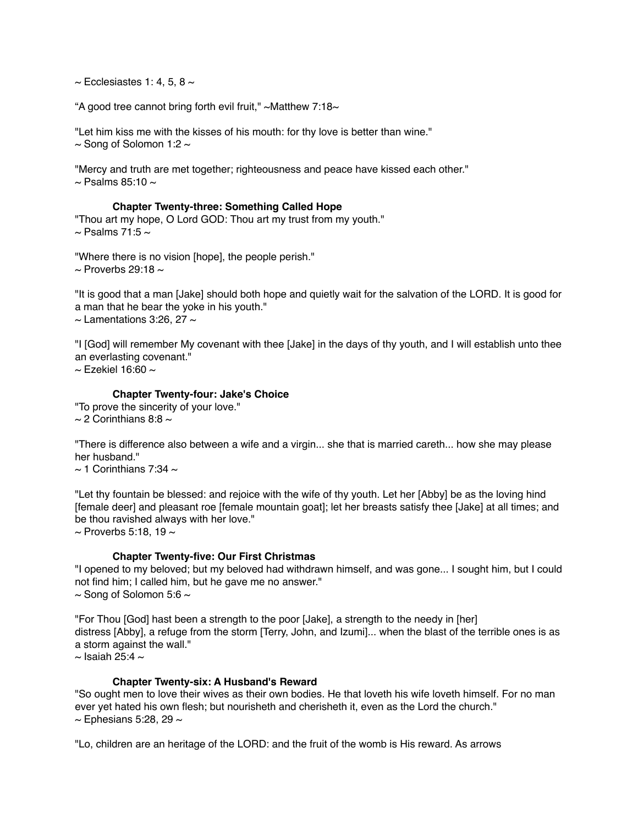$\sim$  Ecclesiastes 1: 4, 5, 8  $\sim$ 

"A good tree cannot bring forth evil fruit,"  $\sim$  Matthew 7:18 $\sim$ 

"Let him kiss me with the kisses of his mouth: for thy love is better than wine."  $\sim$  Song of Solomon 1:2  $\sim$ 

"Mercy and truth are met together; righteousness and peace have kissed each other."  $\sim$  Psalms 85:10  $\sim$ 

#### **Chapter Twenty-three: Something Called Hope**

"Thou art my hope, O Lord GOD: Thou art my trust from my youth."  $\sim$  Psalms 71:5  $\sim$ 

"Where there is no vision [hope], the people perish."  $\sim$  Proverbs 29:18  $\sim$ 

"It is good that a man [Jake] should both hope and quietly wait for the salvation of the LORD. It is good for a man that he bear the yoke in his youth."  $\sim$  Lamentations 3:26, 27  $\sim$ 

"I [God] will remember My covenant with thee [Jake] in the days of thy youth, and I will establish unto thee an everlasting covenant."

 $\sim$  Fzekiel 16:60  $\sim$ 

# **Chapter Twenty-four: Jake's Choice**

"To prove the sincerity of your love."  $\sim$  2 Corinthians 8:8  $\sim$ 

"There is difference also between a wife and a virgin... she that is married careth... how she may please her husband."

 $\sim$  1 Corinthians 7:34  $\sim$ 

"Let thy fountain be blessed: and rejoice with the wife of thy youth. Let her [Abby] be as the loving hind [female deer] and pleasant roe [female mountain goat]; let her breasts satisfy thee [Jake] at all times; and be thou ravished always with her love."

 $\sim$  Proverbs 5:18, 19  $\sim$ 

# **Chapter Twenty-five: Our First Christmas**

"I opened to my beloved; but my beloved had withdrawn himself, and was gone... I sought him, but I could not find him; I called him, but he gave me no answer."  $\sim$  Song of Solomon 5:6  $\sim$ 

"For Thou [God] hast been a strength to the poor [Jake], a strength to the needy in [her] distress [Abby], a refuge from the storm [Terry, John, and Izumi]... when the blast of the terrible ones is as a storm against the wall."  $\sim$  Isaiah 25:4  $\sim$ 

# **Chapter Twenty-six: A Husband's Reward**

"So ought men to love their wives as their own bodies. He that loveth his wife loveth himself. For no man ever yet hated his own flesh; but nourisheth and cherisheth it, even as the Lord the church."  $\sim$  Ephesians 5:28, 29  $\sim$ 

"Lo, children are an heritage of the LORD: and the fruit of the womb is His reward. As arrows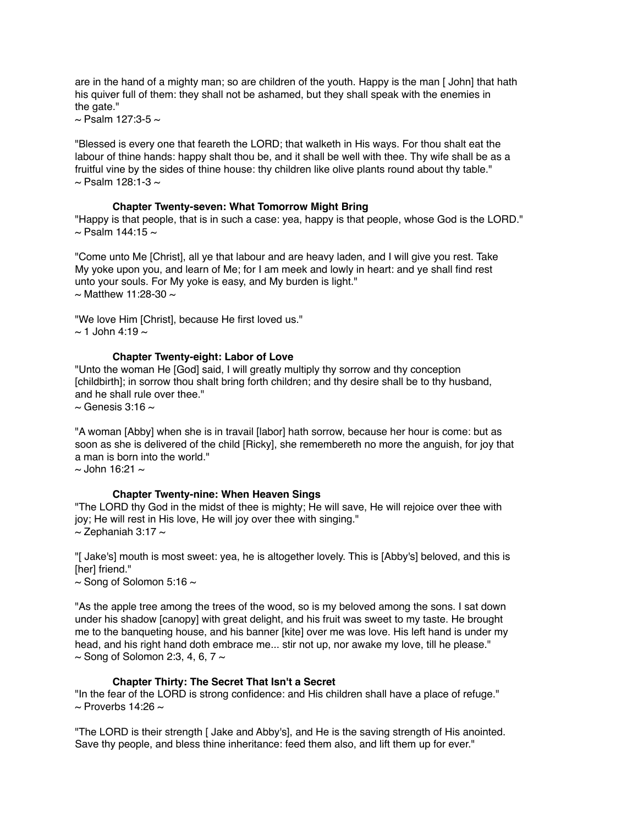are in the hand of a mighty man; so are children of the youth. Happy is the man [ John] that hath his quiver full of them: they shall not be ashamed, but they shall speak with the enemies in the gate."

 $\sim$  Psalm 127:3-5  $\sim$ 

"Blessed is every one that feareth the LORD; that walketh in His ways. For thou shalt eat the labour of thine hands: happy shalt thou be, and it shall be well with thee. Thy wife shall be as a fruitful vine by the sides of thine house: thy children like olive plants round about thy table."  $\sim$  Psalm 128:1-3  $\sim$ 

# **Chapter Twenty-seven: What Tomorrow Might Bring**

"Happy is that people, that is in such a case: yea, happy is that people, whose God is the LORD."  $\sim$  Psalm 144:15  $\sim$ 

"Come unto Me [Christ], all ye that labour and are heavy laden, and I will give you rest. Take My yoke upon you, and learn of Me; for I am meek and lowly in heart: and ye shall find rest unto your souls. For My yoke is easy, and My burden is light."  $\sim$  Matthew 11:28-30  $\sim$ 

"We love Him [Christ], because He first loved us."  $\sim$  1 John 4:19  $\sim$ 

# **Chapter Twenty-eight: Labor of Love**

"Unto the woman He [God] said, I will greatly multiply thy sorrow and thy conception [childbirth]; in sorrow thou shalt bring forth children; and thy desire shall be to thy husband, and he shall rule over thee."  $\sim$  Genesis 3:16  $\sim$ 

"A woman [Abby] when she is in travail [labor] hath sorrow, because her hour is come: but as soon as she is delivered of the child [Ricky], she remembereth no more the anguish, for joy that a man is born into the world."

 $\sim$  John 16:21  $\sim$ 

# **Chapter Twenty-nine: When Heaven Sings**

"The LORD thy God in the midst of thee is mighty; He will save, He will rejoice over thee with joy; He will rest in His love, He will joy over thee with singing."  $\sim$  Zephaniah 3:17  $\sim$ 

"[ Jake's] mouth is most sweet: yea, he is altogether lovely. This is [Abby's] beloved, and this is [her] friend."

 $\sim$  Song of Solomon 5:16  $\sim$ 

"As the apple tree among the trees of the wood, so is my beloved among the sons. I sat down under his shadow [canopy] with great delight, and his fruit was sweet to my taste. He brought me to the banqueting house, and his banner [kite] over me was love. His left hand is under my head, and his right hand doth embrace me... stir not up, nor awake my love, till he please."  $\sim$  Song of Solomon 2:3, 4, 6, 7  $\sim$ 

# **Chapter Thirty: The Secret That Isn't a Secret**

"In the fear of the LORD is strong confidence: and His children shall have a place of refuge."  $\sim$  Proverbs 14:26  $\sim$ 

"The LORD is their strength [ Jake and Abby's], and He is the saving strength of His anointed. Save thy people, and bless thine inheritance: feed them also, and lift them up for ever."